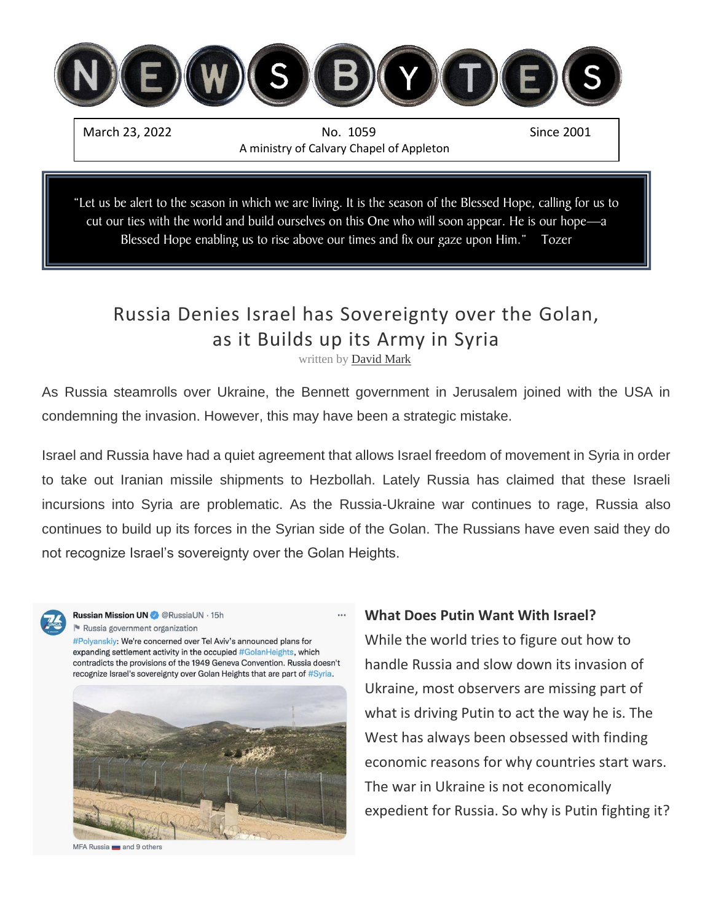

"Let us be alert to the season in which we are living. It is the season of the Blessed Hope, calling for us to cut our ties with the world and build ourselves on this One who will soon appear. He is our hope—a Blessed Hope enabling us to rise above our times and fix our gaze upon Him." Tozer

# Russia Denies Israel has Sovereignty over the Golan, as it Builds up its Army in Syria

written by [David Mark](https://www.israelunwired.com/author/dovid-mark/)

As Russia steamrolls over Ukraine, the Bennett government in Jerusalem joined with the USA in condemning the invasion. However, this may have been a strategic mistake.

Israel and Russia have had a quiet agreement that allows Israel freedom of movement in Syria in order to take out Iranian missile shipments to Hezbollah. Lately Russia has claimed that these Israeli incursions into Syria are problematic. As the Russia-Ukraine war continues to rage, Russia also continues to build up its forces in the Syrian side of the Golan. The Russians have even said they do not recognize Israel's sovereignty over the Golan Heights.



**Russian Mission UN @** @ RussiaUN · 15h Russia government organization

#Polyanskiy: We're concerned over Tel Aviv's announced plans for expanding settlement activity in the occupied #GolanHeights, which contradicts the provisions of the 1949 Geneva Convention. Russia doesn't recognize Israel's sovereignty over Golan Heights that are part of #Syria.



MFA Russia and 9 others

#### **What Does Putin Want With Israel?**

While the world tries to figure out how to handle Russia and slow down its invasion of Ukraine, most observers are missing part of what is driving Putin to act the way he is. The West has always been obsessed with finding economic reasons for why countries start wars. The war in Ukraine is not economically expedient for Russia. So why is Putin fighting it?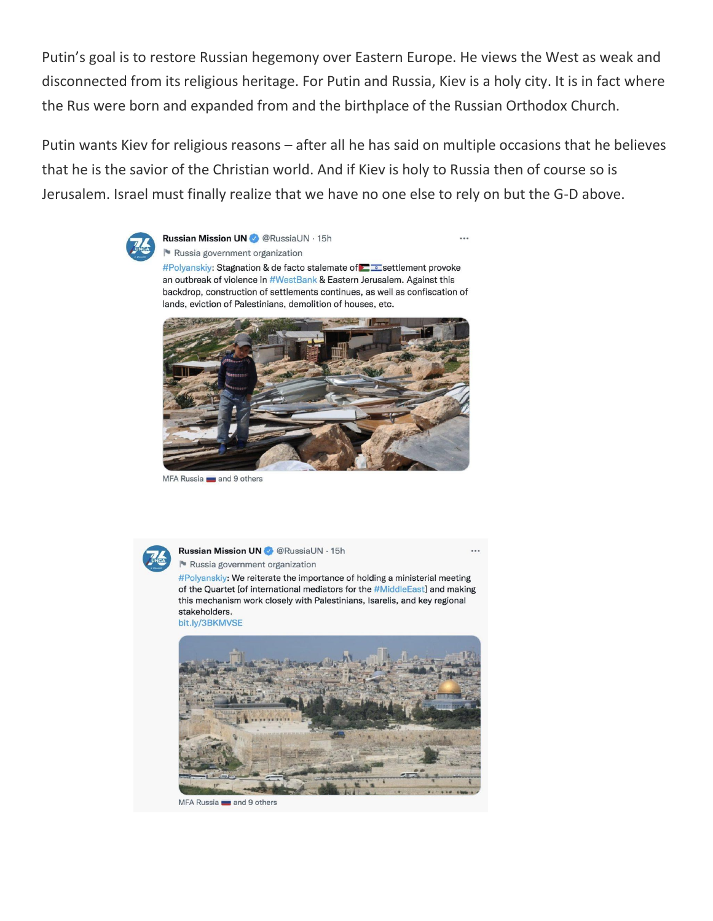Putin's goal is to restore Russian hegemony over Eastern Europe. He views the West as weak and disconnected from its religious heritage. For Putin and Russia, Kiev is a holy city. It is in fact where the Rus were born and expanded from and the birthplace of the Russian Orthodox Church.

Putin wants Kiev for religious reasons – after all he has said on multiple occasions that he believes that he is the savior of the Christian world. And if Kiev is holy to Russia then of course so is Jerusalem. Israel must finally realize that we have no one else to rely on but the G-D above.



Russian Mission UN @ @RussiaUN · 15h  $\cdots$ Russia government organization #Polyanskiy: Stagnation & de facto stalemate of  $\Box$  settlement provoke an outbreak of violence in #WestBank & Eastern Jerusalem. Against this backdrop, construction of settlements continues, as well as confiscation of lands, eviction of Palestinians, demolition of houses, etc.



MFA Russia and 9 others



**Russian Mission UN** @ RussiaUN · 15h Russia government organization

#Polyanskiy: We reiterate the importance of holding a ministerial meeting of the Quartet [of international mediators for the #MiddleEast] and making this mechanism work closely with Palestinians, Isarelis, and key regional stakeholders.





MFA Russia and 9 others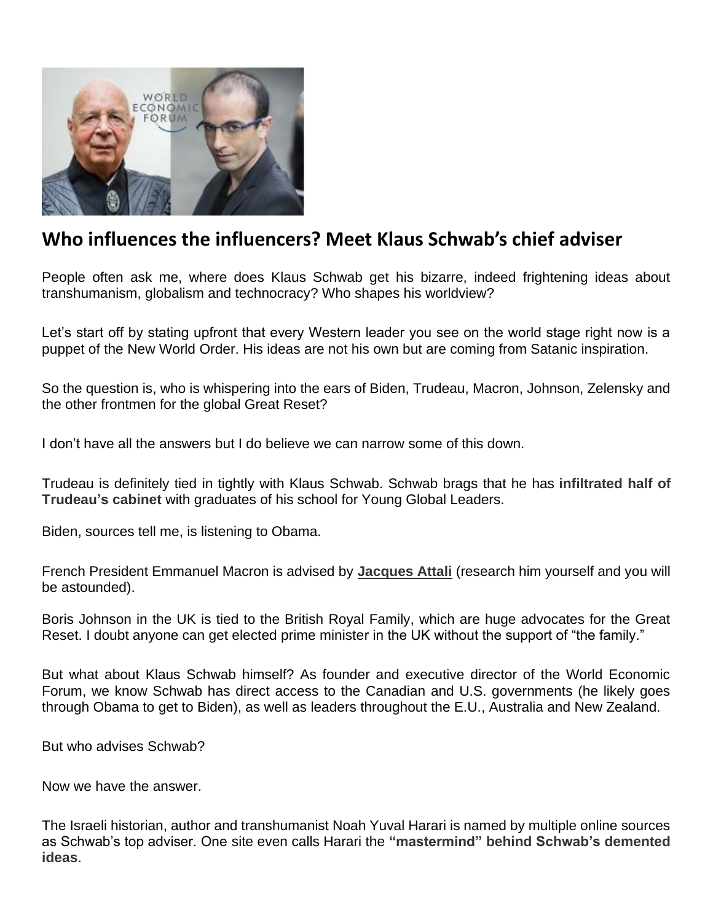

## **Who influences the influencers? Meet Klaus Schwab's chief adviser**

People often ask me, where does Klaus Schwab get his bizarre, indeed frightening ideas about transhumanism, globalism and technocracy? Who shapes his worldview?

Let's start off by stating upfront that every Western leader you see on the world stage right now is a puppet of the New World Order. His ideas are not his own but are coming from Satanic inspiration.

So the question is, who is whispering into the ears of Biden, Trudeau, Macron, Johnson, Zelensky and the other frontmen for the global Great Reset?

I don't have all the answers but I do believe we can narrow some of this down.

Trudeau is definitely tied in tightly with Klaus Schwab. Schwab brags that he has **[infiltrated](https://www.youtube.com/watch?v=RxtiD8Z6gBI&t=18s) half of [Trudeau's](https://www.youtube.com/watch?v=RxtiD8Z6gBI&t=18s) cabinet** with graduates of his school for Young Global Leaders.

Biden, sources tell me, is listening to Obama.

French President Emmanuel Macron is advised by **[Jacques](https://rairfoundation.com/the-real-globalist-mastermind-behind-the-great-reset-prophet-jacques-attali/) Attali** (research him yourself and you will be astounded).

Boris Johnson in the UK is tied to the British Royal Family, which are huge advocates for the Great Reset. I doubt anyone can get elected prime minister in the UK without the support of "the family."

But what about Klaus Schwab himself? As founder and executive director of the World Economic Forum, we know Schwab has direct access to the Canadian and U.S. governments (he likely goes through Obama to get to Biden), as well as leaders throughout the E.U., Australia and New Zealand.

But who advises Schwab?

Now we have the answer.

The Israeli historian, author and transhumanist Noah Yuval Harari is named by multiple online sources as Schwab's top adviser. One site even calls Harari the **["mastermind"](https://welovetrump.com/2022/03/08/who-is-professor-yuval-noah-harari-klaus-schwabs-top-advisor/) behind Schwab's demented [ideas](https://welovetrump.com/2022/03/08/who-is-professor-yuval-noah-harari-klaus-schwabs-top-advisor/)**.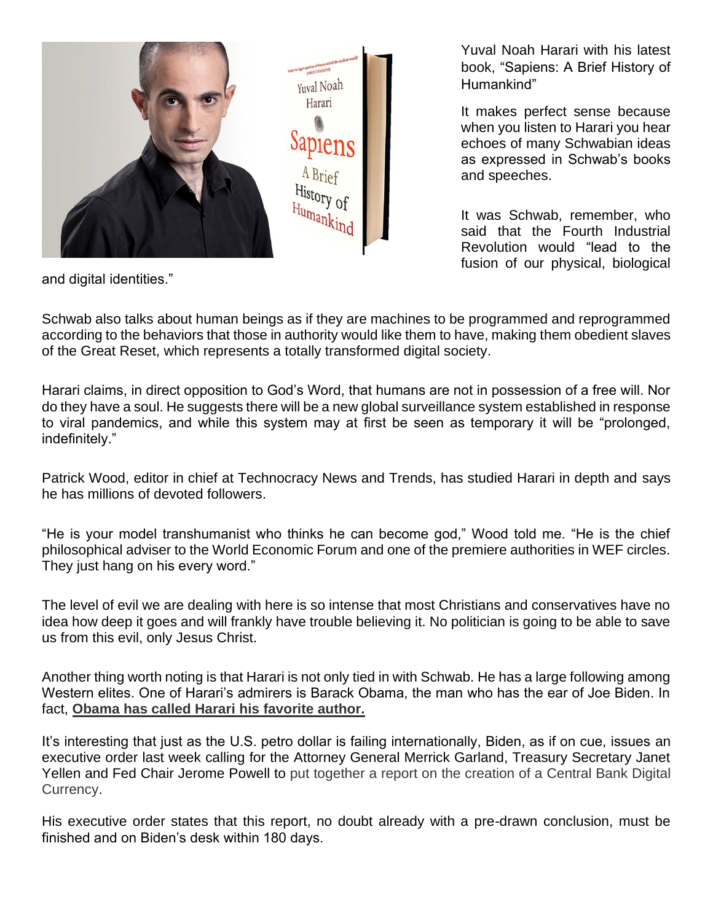

Yuval Noah Harari with his latest book, "Sapiens: A Brief History of Humankind"

It makes perfect sense because when you listen to Harari you hear echoes of many Schwabian ideas as expressed in Schwab's books and speeches.

It was Schwab, remember, who said that the Fourth Industrial Revolution would "lead to the fusion of our physical, biological

and digital identities."

Schwab also talks about human beings as if they are machines to be programmed and reprogrammed according to the behaviors that those in authority would like them to have, making them obedient slaves of the Great Reset, which represents a totally transformed digital society.

Harari claims, in direct opposition to God's Word, that humans are not in possession of a free will. Nor do they have a soul. He suggests there will be a new global surveillance system established in response to viral pandemics, and while this system may at first be seen as temporary it will be "prolonged, indefinitely."

Patrick Wood, editor in chief at Technocracy News and Trends, has studied Harari in depth and says he has millions of devoted followers.

"He is your model transhumanist who thinks he can become god," Wood told me. "He is the chief philosophical adviser to the World Economic Forum and one of the premiere authorities in WEF circles. They just hang on his every word."

The level of evil we are dealing with here is so intense that most Christians and conservatives have no idea how deep it goes and will frankly have trouble believing it. No politician is going to be able to save us from this evil, only Jesus Christ.

Another thing worth noting is that Harari is not only tied in with Schwab. He has a large following among Western elites. One of Harari's admirers is Barack Obama, the man who has the ear of Joe Biden. In fact, **Obama has called Harari his [favorite](https://iwillmakeyouthinksmart.com/why-obama-loved-harari-book-sapiens-brief-history-mankind-book-review/) author.**

It's interesting that just as the U.S. petro dollar is failing internationally, Biden, as if on cue, issues an executive order last week calling for the Attorney General Merrick Garland, Treasury Secretary Janet Yellen and Fed Chair Jerome Powell to put [together](https://www.technocracy.news/with-new-eo-biden-is-probing-how-to-terminate-fiat-currency-implement-digital-money/) a report on the creation of a Central Bank Digital [Currency.](https://www.technocracy.news/with-new-eo-biden-is-probing-how-to-terminate-fiat-currency-implement-digital-money/)

His executive order states that this report, no doubt already with a pre-drawn conclusion, must be finished and on Biden's desk within 180 days.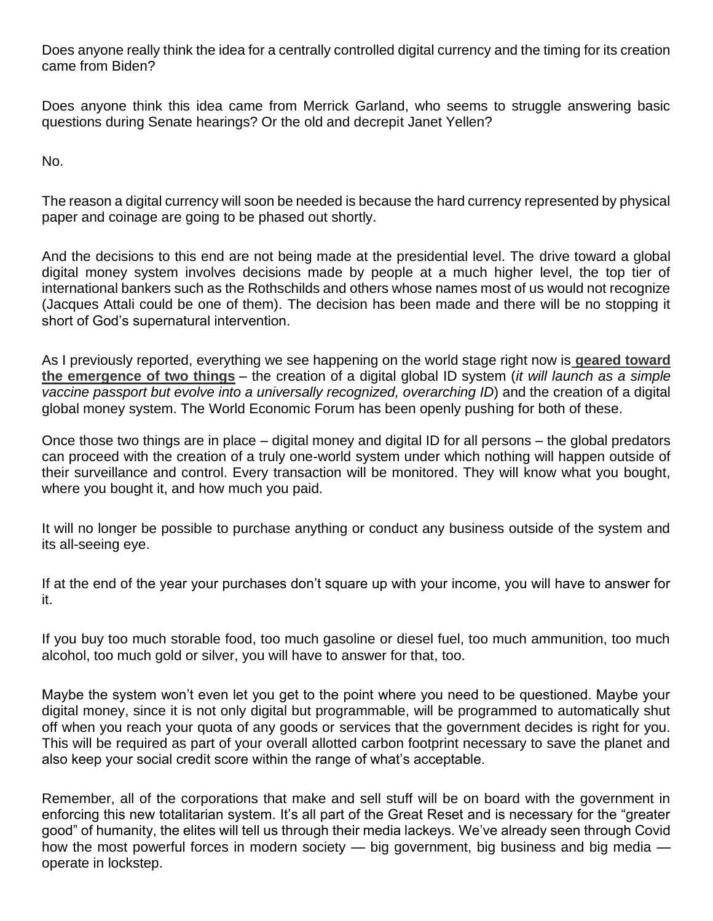Does anyone really think the idea for a centrally controlled digital currency and the timing for its creation came from Biden?

Does anyone think this idea came from Merrick Garland, who seems to struggle answering basic questions during Senate hearings? Or the old and decrepit Janet Yellen?

No.

The reason a digital currency will soon be needed is because the hard currency represented by physical paper and coinage are going to be phased out shortly.

And the decisions to this end are not being made at the presidential level. The drive toward a global digital money system involves decisions made by people at a much higher level, the top tier of international bankers such as the Rothschilds and others whose names most of us would not recognize (Jacques Attali could be one of them). The decision has been made and there will be no stopping it short of God's supernatural intervention.

As I previously reported, everything we see happening on the world stage right now is **[geared](https://leohohmann.com/2022/02/23/everything-you-see-going-on-in-the-world-right-now-is-pushing-toward-implementation-of-global-digital-id-and-global-digital-money-system-the-fourth-reich-is-rising/) toward the [emergence](https://leohohmann.com/2022/02/23/everything-you-see-going-on-in-the-world-right-now-is-pushing-toward-implementation-of-global-digital-id-and-global-digital-money-system-the-fourth-reich-is-rising/) of two things** – the creation of a digital global ID system (*it will launch as a simple vaccine passport but evolve into a universally recognized, overarching ID*) and the creation of a digital global money system. The World Economic Forum has been openly pushing for both of these.

Once those two things are in place – digital money and digital ID for all persons – the global predators can proceed with the creation of a truly one-world system under which nothing will happen outside of their surveillance and control. Every transaction will be monitored. They will know what you bought, where you bought it, and how much you paid.

It will no longer be possible to purchase anything or conduct any business outside of the system and its all-seeing eye.

If at the end of the year your purchases don't square up with your income, you will have to answer for it.

If you buy too much storable food, too much gasoline or diesel fuel, too much ammunition, too much alcohol, too much gold or silver, you will have to answer for that, too.

Maybe the system won't even let you get to the point where you need to be questioned. Maybe your digital money, since it is not only digital but programmable, will be programmed to automatically shut off when you reach your quota of any goods or services that the government decides is right for you. This will be required as part of your overall allotted carbon footprint necessary to save the planet and also keep your social credit score within the range of what's acceptable.

Remember, all of the corporations that make and sell stuff will be on board with the government in enforcing this new totalitarian system. It's all part of the Great Reset and is necessary for the "greater good" of humanity, the elites will tell us through their media lackeys. We've already seen through Covid how the most powerful forces in modern society — big government, big business and big media operate in lockstep.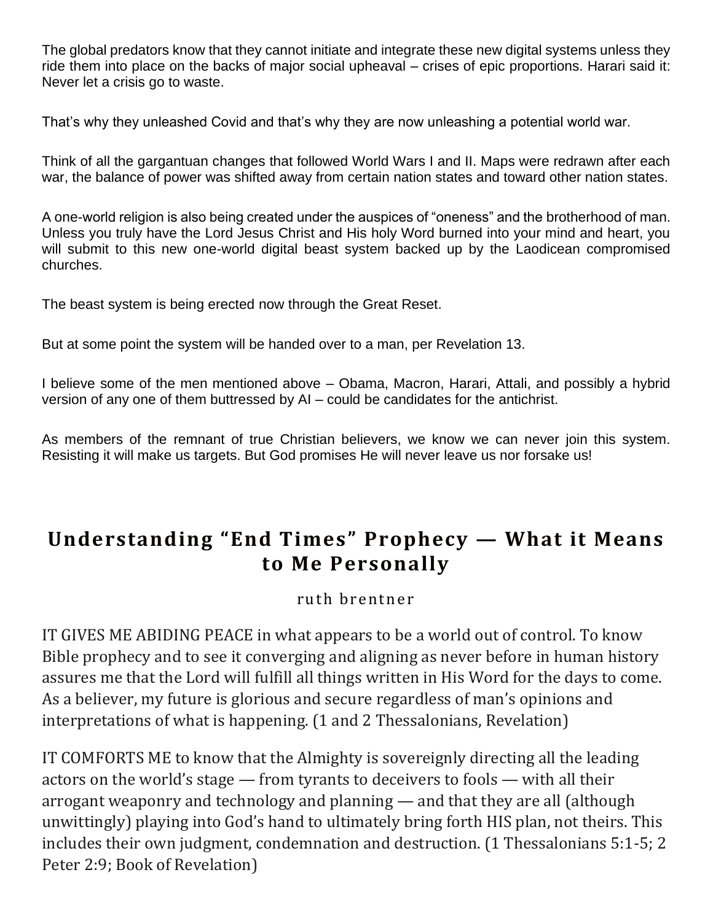The global predators know that they cannot initiate and integrate these new digital systems unless they ride them into place on the backs of major social upheaval – crises of epic proportions. Harari said it: Never let a crisis go to waste.

That's why they unleashed Covid and that's why they are now unleashing a potential world war.

Think of all the gargantuan changes that followed World Wars I and II. Maps were redrawn after each war, the balance of power was shifted away from certain nation states and toward other nation states.

A one-world religion is also being created under the auspices of "oneness" and the brotherhood of man. Unless you truly have the Lord Jesus Christ and His holy Word burned into your mind and heart, you will submit to this new one-world digital beast system backed up by the Laodicean compromised churches.

The beast system is being erected now through the Great Reset.

But at some point the system will be handed over to a man, per Revelation 13.

I believe some of the men mentioned above – Obama, Macron, Harari, Attali, and possibly a hybrid version of any one of them buttressed by AI – could be candidates for the antichrist.

As members of the remnant of true Christian believers, we know we can never join this system. Resisting it will make us targets. But God promises He will never leave us nor forsake us!

# **Understanding "End Times" Prophecy — What it Means to Me Personally**

### ruth brentner

IT GIVES ME ABIDING PEACE in what appears to be a world out of control. To know Bible prophecy and to see it converging and aligning as never before in human history assures me that the Lord will fulfill all things written in His Word for the days to come. As a believer, my future is glorious and secure regardless of man's opinions and interpretations of what is happening. (1 and 2 Thessalonians, Revelation)

IT COMFORTS ME to know that the Almighty is sovereignly directing all the leading actors on the world's stage — from tyrants to deceivers to fools — with all their arrogant weaponry and technology and planning — and that they are all (although unwittingly) playing into God's hand to ultimately bring forth HIS plan, not theirs. This includes their own judgment, condemnation and destruction. (1 Thessalonians 5:1-5; 2 Peter 2:9; Book of Revelation)